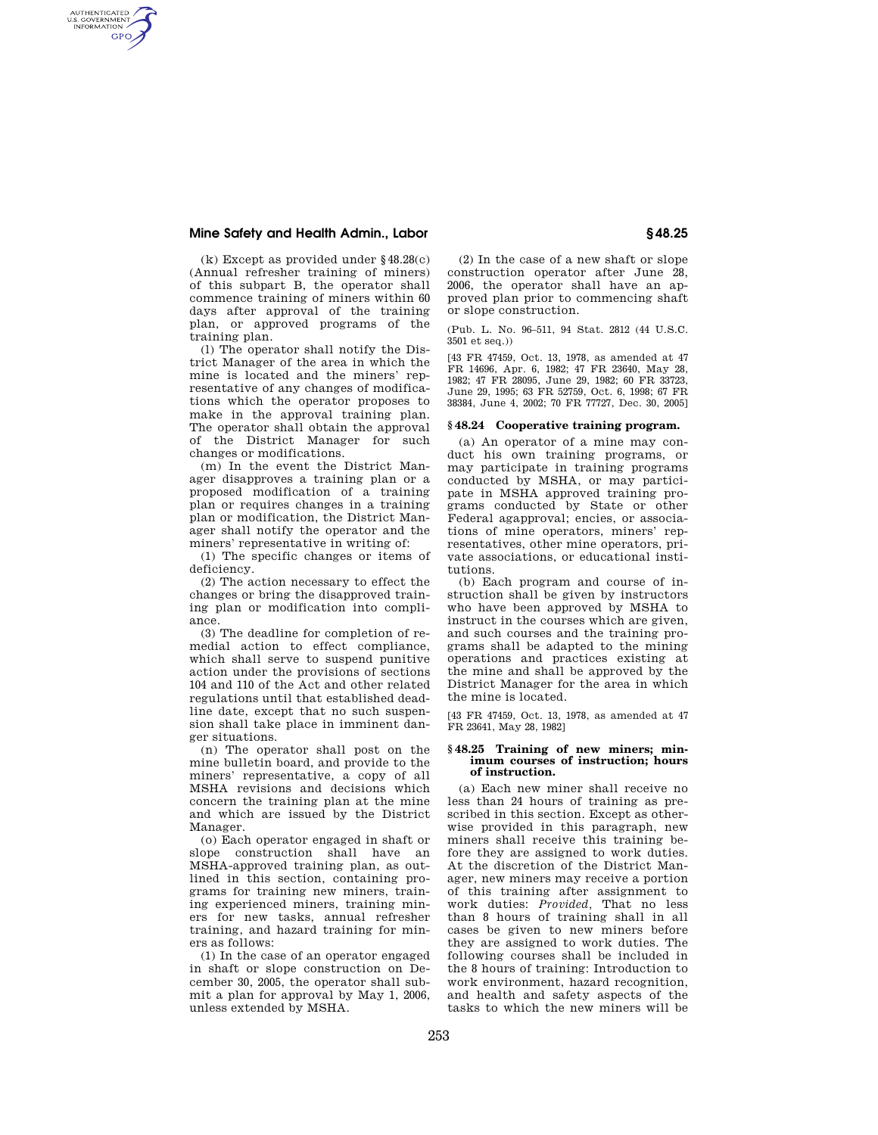# **Mine Safety and Health Admin., Labor § 48.25**

AUTHENTICATED<br>U.S. GOVERNMENT<br>INFORMATION **GPO** 

> (k) Except as provided under §48.28(c) (Annual refresher training of miners) of this subpart B, the operator shall commence training of miners within 60 days after approval of the training plan, or approved programs of the training plan.

> (l) The operator shall notify the District Manager of the area in which the mine is located and the miners' representative of any changes of modifications which the operator proposes to make in the approval training plan. The operator shall obtain the approval of the District Manager for such changes or modifications.

> (m) In the event the District Manager disapproves a training plan or a proposed modification of a training plan or requires changes in a training plan or modification, the District Manager shall notify the operator and the miners' representative in writing of:

(1) The specific changes or items of deficiency.

(2) The action necessary to effect the changes or bring the disapproved training plan or modification into compliance.

(3) The deadline for completion of remedial action to effect compliance, which shall serve to suspend punitive action under the provisions of sections 104 and 110 of the Act and other related regulations until that established deadline date, except that no such suspension shall take place in imminent danger situations.

(n) The operator shall post on the mine bulletin board, and provide to the miners' representative, a copy of all MSHA revisions and decisions which concern the training plan at the mine and which are issued by the District Manager.

(o) Each operator engaged in shaft or slope construction shall have an MSHA-approved training plan, as outlined in this section, containing programs for training new miners, training experienced miners, training miners for new tasks, annual refresher training, and hazard training for miners as follows:

(1) In the case of an operator engaged in shaft or slope construction on December 30, 2005, the operator shall submit a plan for approval by May 1, 2006, unless extended by MSHA.

(2) In the case of a new shaft or slope construction operator after June 28, 2006, the operator shall have an approved plan prior to commencing shaft or slope construction.

(Pub. L. No. 96–511, 94 Stat. 2812 (44 U.S.C. 3501 et seq.))

[43 FR 47459, Oct. 13, 1978, as amended at 47 FR 14696, Apr. 6, 1982; 47 FR 23640, May 28, 1982; 47 FR 28095, June 29, 1982; 60 FR 33723, June 29, 1995; 63 FR 52759, Oct. 6, 1998; 67 FR 38384, June 4, 2002; 70 FR 77727, Dec. 30, 2005]

### **§ 48.24 Cooperative training program.**

(a) An operator of a mine may conduct his own training programs, or may participate in training programs conducted by MSHA, or may participate in MSHA approved training programs conducted by State or other Federal agapproval; encies, or associations of mine operators, miners' representatives, other mine operators, private associations, or educational institutions.

(b) Each program and course of instruction shall be given by instructors who have been approved by MSHA to instruct in the courses which are given, and such courses and the training programs shall be adapted to the mining operations and practices existing at the mine and shall be approved by the District Manager for the area in which the mine is located.

[43 FR 47459, Oct. 13, 1978, as amended at 47 FR 23641, May 28, 1982]

#### **§ 48.25 Training of new miners; minimum courses of instruction; hours of instruction.**

(a) Each new miner shall receive no less than 24 hours of training as prescribed in this section. Except as otherwise provided in this paragraph, new miners shall receive this training before they are assigned to work duties. At the discretion of the District Manager, new miners may receive a portion of this training after assignment to work duties: *Provided,* That no less than 8 hours of training shall in all cases be given to new miners before they are assigned to work duties. The following courses shall be included in the 8 hours of training: Introduction to work environment, hazard recognition, and health and safety aspects of the tasks to which the new miners will be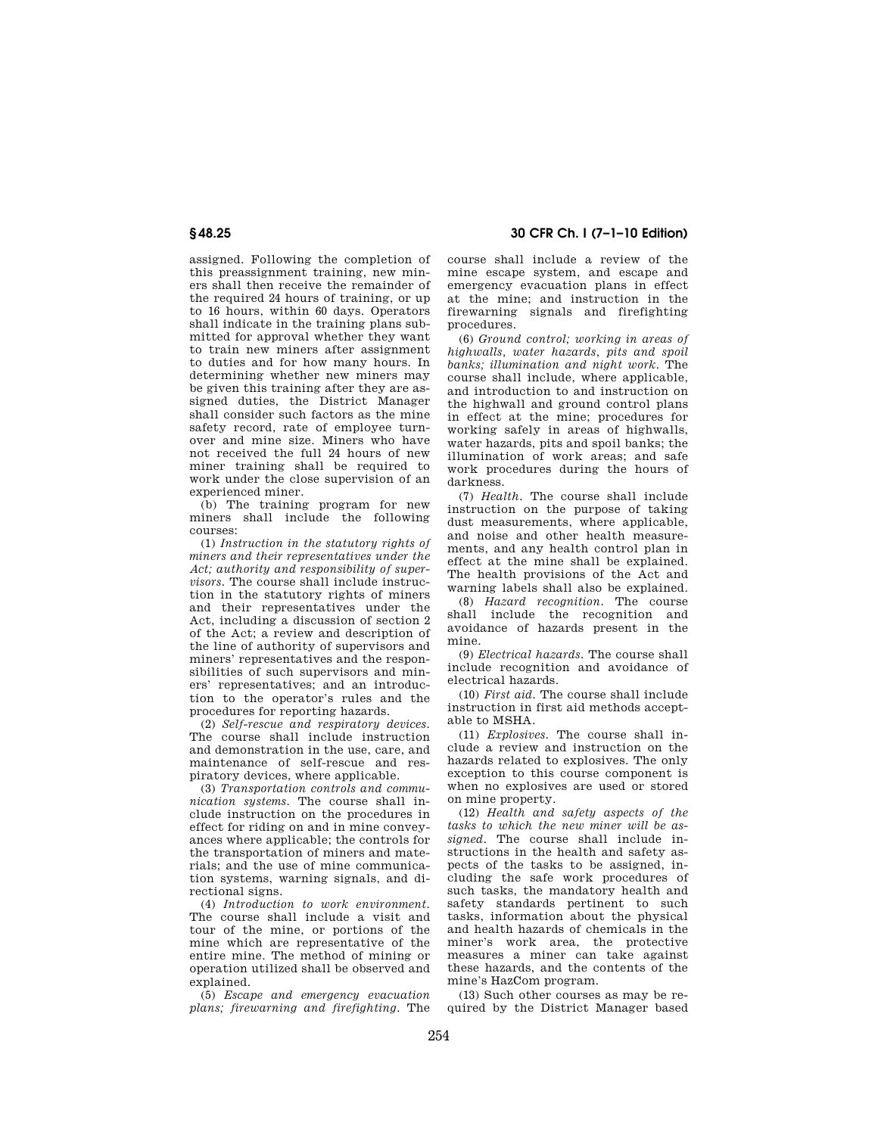assigned. Following the completion of this preassignment training, new miners shall then receive the remainder of the required 24 hours of training, or up to 16 hours, within 60 days. Operators shall indicate in the training plans submitted for approval whether they want to train new miners after assignment to duties and for how many hours. In determining whether new miners may be given this training after they are assigned duties, the District Manager shall consider such factors as the mine safety record, rate of employee turnover and mine size. Miners who have not received the full 24 hours of new miner training shall be required to work under the close supervision of an experienced miner.

(b) The training program for new miners shall include the following courses:

(1) *Instruction in the statutory rights of miners and their representatives under the Act; authority and responsibility of supervisors.* The course shall include instruction in the statutory rights of miners and their representatives under the Act, including a discussion of section 2 of the Act; a review and description of the line of authority of supervisors and miners' representatives and the responsibilities of such supervisors and miners' representatives; and an introduction to the operator's rules and the procedures for reporting hazards.

(2) *Self-rescue and respiratory devices.*  The course shall include instruction and demonstration in the use, care, and maintenance of self-rescue and respiratory devices, where applicable.

(3) *Transportation controls and communication systems.* The course shall include instruction on the procedures in effect for riding on and in mine conveyances where applicable; the controls for the transportation of miners and materials; and the use of mine communication systems, warning signals, and directional signs.

(4) *Introduction to work environment.*  The course shall include a visit and tour of the mine, or portions of the mine which are representative of the entire mine. The method of mining or operation utilized shall be observed and explained.

(5) *Escape and emergency evacuation plans; firewarning and firefighting.* The

**§ 48.25 30 CFR Ch. I (7–1–10 Edition)** 

course shall include a review of the mine escape system, and escape and emergency evacuation plans in effect at the mine; and instruction in the firewarning signals and firefighting procedures.

(6) *Ground control; working in areas of highwalls, water hazards, pits and spoil banks; illumination and night work.* The course shall include, where applicable, and introduction to and instruction on the highwall and ground control plans in effect at the mine; procedures for working safely in areas of highwalls, water hazards, pits and spoil banks; the illumination of work areas; and safe work procedures during the hours of darkness.

(7) *Health.* The course shall include instruction on the purpose of taking dust measurements, where applicable, and noise and other health measurements, and any health control plan in effect at the mine shall be explained. The health provisions of the Act and warning labels shall also be explained.

(8) *Hazard recognition.* The course shall include the recognition and avoidance of hazards present in the mine.

(9) *Electrical hazards.* The course shall include recognition and avoidance of electrical hazards.

(10) *First aid.* The course shall include instruction in first aid methods acceptable to MSHA.

(11) *Explosives.* The course shall include a review and instruction on the hazards related to explosives. The only exception to this course component is when no explosives are used or stored on mine property.

(12) *Health and safety aspects of the tasks to which the new miner will be assigned.* The course shall include instructions in the health and safety aspects of the tasks to be assigned, including the safe work procedures of such tasks, the mandatory health and safety standards pertinent to such tasks, information about the physical and health hazards of chemicals in the miner's work area, the protective measures a miner can take against these hazards, and the contents of the mine's HazCom program.

(13) Such other courses as may be required by the District Manager based